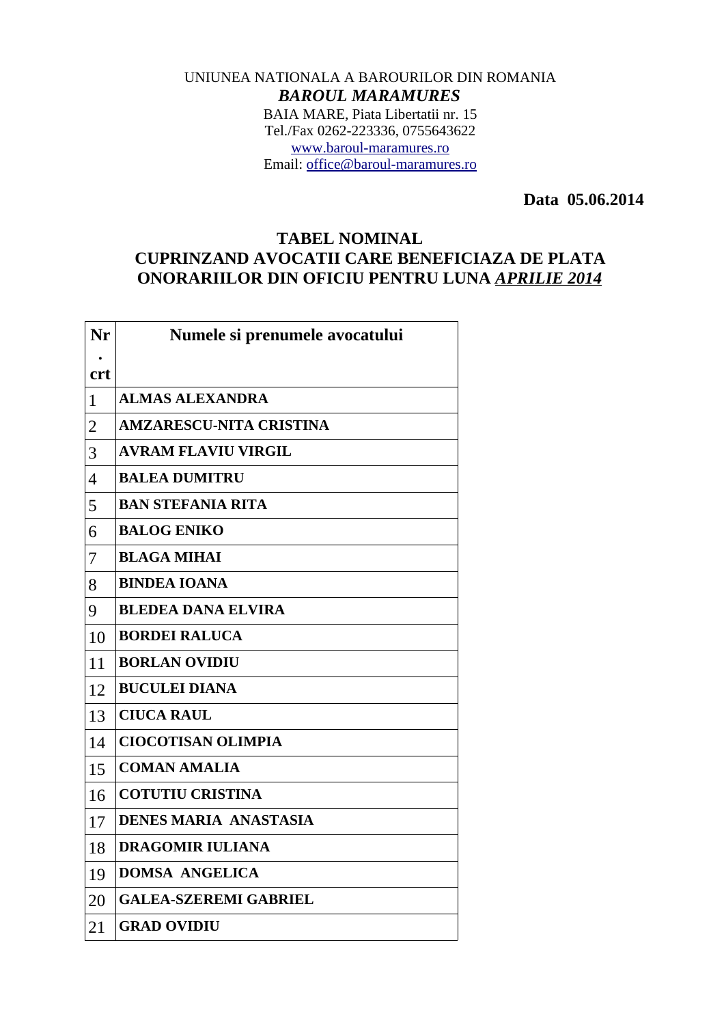## UNIUNEA NATIONALA A BAROURILOR DIN ROMANIA *BAROUL MARAMURES* BAIA MARE, Piata Libertatii nr. 15 Tel./Fax 0262-223336, 0755643622 [www.baroul-maramures.ro](http://www.baroul-maramures.ro/) Email: [office@baroul-maramures.ro](mailto:office@baroul-maramures.ro)

 **Data 05.06.2014**

## **TABEL NOMINAL CUPRINZAND AVOCATII CARE BENEFICIAZA DE PLATA ONORARIILOR DIN OFICIU PENTRU LUNA** *APRILIE 2014*

| Nr             | Numele si prenumele avocatului |
|----------------|--------------------------------|
| <b>crt</b>     |                                |
| $\mathbf{1}$   | <b>ALMAS ALEXANDRA</b>         |
| $\overline{2}$ | <b>AMZARESCU-NITA CRISTINA</b> |
| 3              | <b>AVRAM FLAVIU VIRGIL</b>     |
| $\overline{4}$ | <b>BALEA DUMITRU</b>           |
| 5              | <b>BAN STEFANIA RITA</b>       |
| 6              | <b>BALOG ENIKO</b>             |
| 7              | <b>BLAGA MIHAI</b>             |
| 8              | <b>BINDEA IOANA</b>            |
| 9              | <b>BLEDEA DANA ELVIRA</b>      |
| 10             | <b>BORDEI RALUCA</b>           |
| 11             | <b>BORLAN OVIDIU</b>           |
| 12             | <b>BUCULEI DIANA</b>           |
| 13             | <b>CIUCA RAUL</b>              |
| 14             | <b>CIOCOTISAN OLIMPIA</b>      |
| 15             | <b>COMAN AMALIA</b>            |
| 16             | <b>COTUTIU CRISTINA</b>        |
| 17             | <b>DENES MARIA ANASTASIA</b>   |
| 18             | <b>DRAGOMIR IULIANA</b>        |
| 19             | <b>DOMSA ANGELICA</b>          |
| 20             | <b>GALEA-SZEREMI GABRIEL</b>   |
| 21             | <b>GRAD OVIDIU</b>             |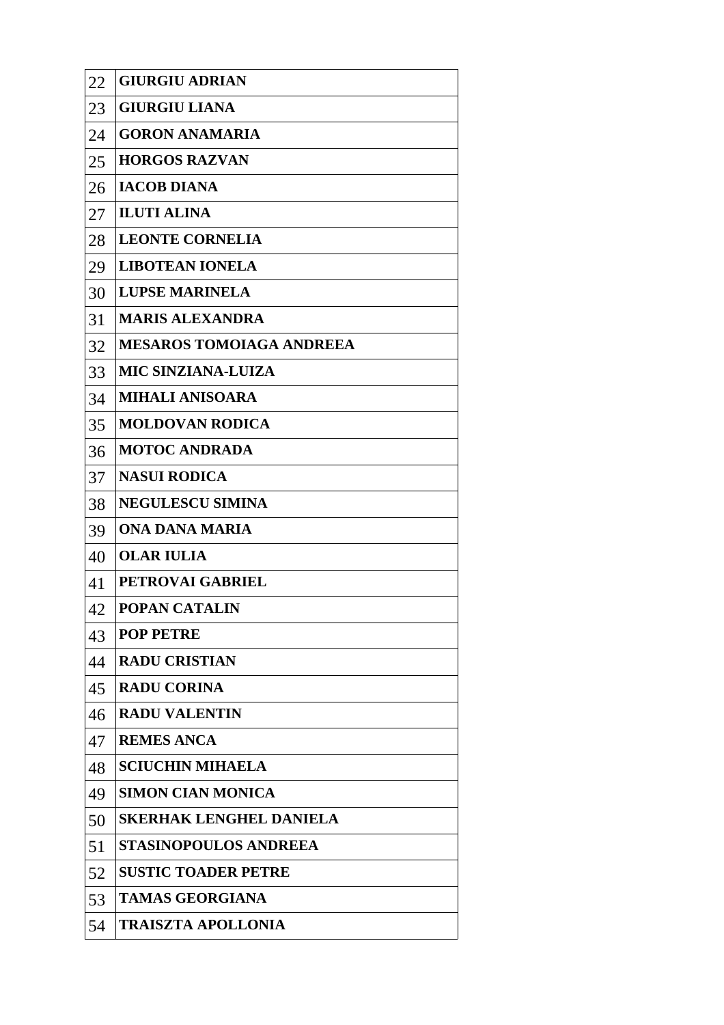| 22 | <b>GIURGIU ADRIAN</b>           |
|----|---------------------------------|
| 23 | <b>GIURGIU LIANA</b>            |
| 24 | <b>GORON ANAMARIA</b>           |
| 25 | <b>HORGOS RAZVAN</b>            |
| 26 | <b>IACOB DIANA</b>              |
| 27 | <b>ILUTI ALINA</b>              |
| 28 | <b>LEONTE CORNELIA</b>          |
| 29 | <b>LIBOTEAN IONELA</b>          |
| 30 | <b>LUPSE MARINELA</b>           |
| 31 | <b>MARIS ALEXANDRA</b>          |
| 32 | <b>MESAROS TOMOIAGA ANDREEA</b> |
| 33 | <b>MIC SINZIANA-LUIZA</b>       |
| 34 | <b>MIHALI ANISOARA</b>          |
| 35 | <b>MOLDOVAN RODICA</b>          |
| 36 | <b>MOTOC ANDRADA</b>            |
| 37 | <b>NASUI RODICA</b>             |
| 38 | <b>NEGULESCU SIMINA</b>         |
| 39 | ONA DANA MARIA                  |
| 40 | <b>OLAR IULIA</b>               |
| 41 | PETROVAI GABRIEL                |
| 42 | <b>POPAN CATALIN</b>            |
| 43 | <b>POP PETRE</b>                |
| 44 | <b>RADU CRISTIAN</b>            |
| 45 | <b>RADU CORINA</b>              |
| 46 | <b>RADU VALENTIN</b>            |
| 47 | <b>REMES ANCA</b>               |
| 48 | <b>SCIUCHIN MIHAELA</b>         |
| 49 | <b>SIMON CIAN MONICA</b>        |
| 50 | <b>SKERHAK LENGHEL DANIELA</b>  |
| 51 | <b>STASINOPOULOS ANDREEA</b>    |
| 52 | <b>SUSTIC TOADER PETRE</b>      |
| 53 | <b>TAMAS GEORGIANA</b>          |
| 54 | <b>TRAISZTA APOLLONIA</b>       |